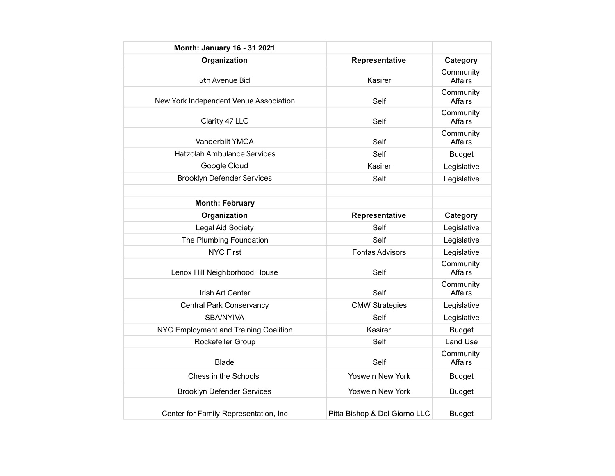| Month: January 16 - 31 2021            |                               |                             |
|----------------------------------------|-------------------------------|-----------------------------|
| Organization                           | Representative                | Category                    |
| 5th Avenue Bid                         | Kasirer                       | Community<br>Affairs        |
| New York Independent Venue Association | Self                          | Community<br><b>Affairs</b> |
| Clarity 47 LLC                         | Self                          | Community<br>Affairs        |
| Vanderbilt YMCA                        | Self                          | Community<br><b>Affairs</b> |
| <b>Hatzolah Ambulance Services</b>     | Self                          | <b>Budget</b>               |
| Google Cloud                           | Kasirer                       | Legislative                 |
| <b>Brooklyn Defender Services</b>      | Self                          | Legislative                 |
|                                        |                               |                             |
| <b>Month: February</b>                 |                               |                             |
| Organization                           | Representative                | Category                    |
| <b>Legal Aid Society</b>               | Self                          | Legislative                 |
| The Plumbing Foundation                | Self                          | Legislative                 |
| <b>NYC First</b>                       | <b>Fontas Advisors</b>        | Legislative                 |
| Lenox Hill Neighborhood House          | Self                          | Community<br>Affairs        |
| Irish Art Center                       | Self                          | Community<br><b>Affairs</b> |
| <b>Central Park Conservancy</b>        | <b>CMW Strategies</b>         | Legislative                 |
| SBA/NYIVA                              | Self                          | Legislative                 |
| NYC Employment and Training Coalition  | Kasirer                       | <b>Budget</b>               |
| Rockefeller Group                      | Self                          | <b>Land Use</b>             |
| <b>Blade</b>                           | Self                          | Community<br><b>Affairs</b> |
| Chess in the Schools                   | Yoswein New York              | <b>Budget</b>               |
| <b>Brooklyn Defender Services</b>      | Yoswein New York              | <b>Budget</b>               |
| Center for Family Representation, Inc  | Pitta Bishop & Del Giorno LLC | <b>Budget</b>               |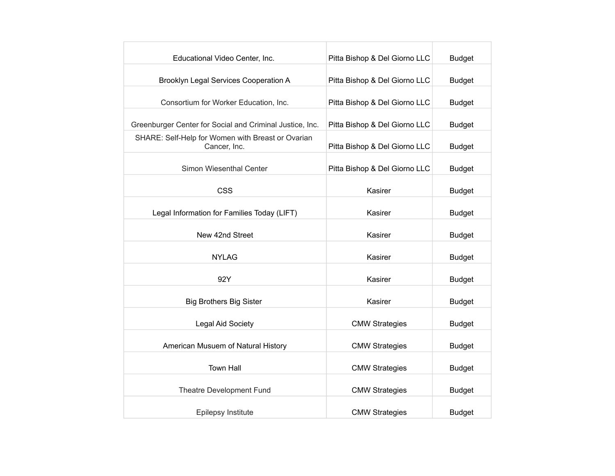| Educational Video Center, Inc.                                    | Pitta Bishop & Del Giorno LLC | <b>Budget</b> |
|-------------------------------------------------------------------|-------------------------------|---------------|
| Brooklyn Legal Services Cooperation A                             | Pitta Bishop & Del Giorno LLC | <b>Budget</b> |
| Consortium for Worker Education, Inc.                             | Pitta Bishop & Del Giorno LLC | <b>Budget</b> |
| Greenburger Center for Social and Criminal Justice, Inc.          | Pitta Bishop & Del Giorno LLC | <b>Budget</b> |
| SHARE: Self-Help for Women with Breast or Ovarian<br>Cancer, Inc. | Pitta Bishop & Del Giorno LLC | <b>Budget</b> |
| Simon Wiesenthal Center                                           | Pitta Bishop & Del Giorno LLC | <b>Budget</b> |
| <b>CSS</b>                                                        | Kasirer                       | <b>Budget</b> |
| Legal Information for Families Today (LIFT)                       | Kasirer                       | <b>Budget</b> |
| New 42nd Street                                                   | Kasirer                       | <b>Budget</b> |
| <b>NYLAG</b>                                                      | Kasirer                       | <b>Budget</b> |
| 92Y                                                               | Kasirer                       | <b>Budget</b> |
| <b>Big Brothers Big Sister</b>                                    | Kasirer                       | <b>Budget</b> |
| Legal Aid Society                                                 | <b>CMW Strategies</b>         | <b>Budget</b> |
| American Musuem of Natural History                                | <b>CMW Strategies</b>         | <b>Budget</b> |
| <b>Town Hall</b>                                                  | <b>CMW Strategies</b>         | <b>Budget</b> |
| Theatre Development Fund                                          | <b>CMW Strategies</b>         | <b>Budget</b> |
| Epilepsy Institute                                                | <b>CMW Strategies</b>         | <b>Budget</b> |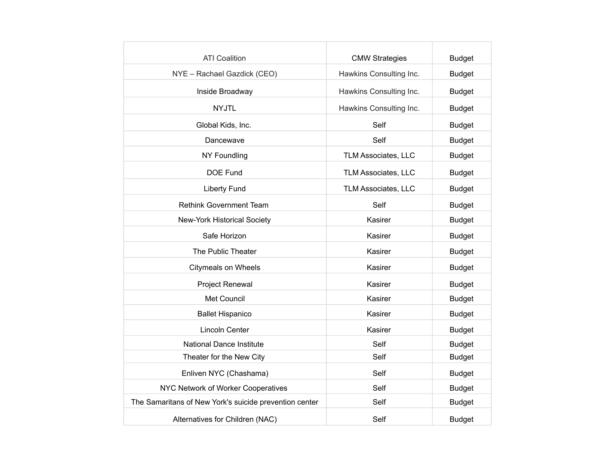| <b>ATI Coalition</b>                                   | <b>CMW Strategies</b>   | <b>Budget</b> |
|--------------------------------------------------------|-------------------------|---------------|
| NYE - Rachael Gazdick (CEO)                            | Hawkins Consulting Inc. | <b>Budget</b> |
| Inside Broadway                                        | Hawkins Consulting Inc. | <b>Budget</b> |
| <b>NYJTL</b>                                           | Hawkins Consulting Inc. | <b>Budget</b> |
| Global Kids, Inc.                                      | Self                    | <b>Budget</b> |
| Dancewave                                              | Self                    | <b>Budget</b> |
| NY Foundling                                           | TLM Associates, LLC     | <b>Budget</b> |
| DOE Fund                                               | TLM Associates, LLC     | <b>Budget</b> |
| <b>Liberty Fund</b>                                    | TLM Associates, LLC     | <b>Budget</b> |
| <b>Rethink Government Team</b>                         | Self                    | <b>Budget</b> |
| New-York Historical Society                            | Kasirer                 | <b>Budget</b> |
| Safe Horizon                                           | Kasirer                 | <b>Budget</b> |
| The Public Theater                                     | Kasirer                 | <b>Budget</b> |
| <b>Citymeals on Wheels</b>                             | Kasirer                 | <b>Budget</b> |
| Project Renewal                                        | Kasirer                 | <b>Budget</b> |
| Met Council                                            | Kasirer                 | <b>Budget</b> |
| <b>Ballet Hispanico</b>                                | Kasirer                 | <b>Budget</b> |
| Lincoln Center                                         | Kasirer                 | <b>Budget</b> |
| <b>National Dance Institute</b>                        | Self                    | <b>Budget</b> |
| Theater for the New City                               | Self                    | <b>Budget</b> |
| Enliven NYC (Chashama)                                 | Self                    | <b>Budget</b> |
| NYC Network of Worker Cooperatives                     | Self                    | <b>Budget</b> |
| The Samaritans of New York's suicide prevention center | Self                    | <b>Budget</b> |
| Alternatives for Children (NAC)                        | Self                    | <b>Budget</b> |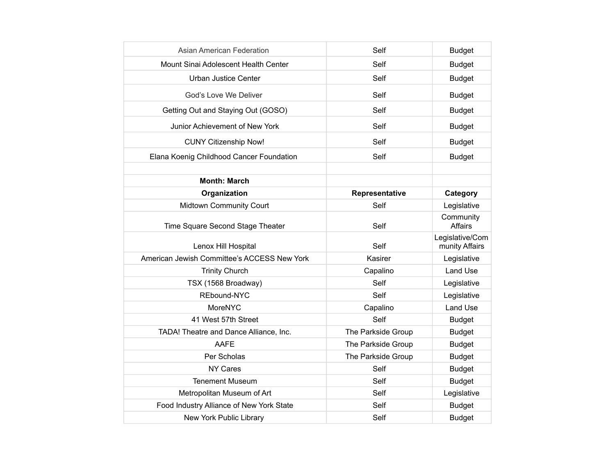| Asian American Federation                   | Self               | <b>Budget</b>                     |
|---------------------------------------------|--------------------|-----------------------------------|
| Mount Sinai Adolescent Health Center        | Self               | <b>Budget</b>                     |
| <b>Urban Justice Center</b>                 | Self               | <b>Budget</b>                     |
| God's Love We Deliver                       | Self               | <b>Budget</b>                     |
| Getting Out and Staying Out (GOSO)          | Self               | <b>Budget</b>                     |
| Junior Achievement of New York              | Self               | <b>Budget</b>                     |
| <b>CUNY Citizenship Now!</b>                | Self               | <b>Budget</b>                     |
| Elana Koenig Childhood Cancer Foundation    | Self               | <b>Budget</b>                     |
| <b>Month: March</b>                         |                    |                                   |
| Organization                                | Representative     | Category                          |
| Midtown Community Court                     | Self               | Legislative                       |
| Time Square Second Stage Theater            | Self               | Community<br><b>Affairs</b>       |
|                                             |                    |                                   |
| Lenox Hill Hospital                         | Self               | Legislative/Com<br>munity Affairs |
| American Jewish Committee's ACCESS New York | Kasirer            | Legislative                       |
| <b>Trinity Church</b>                       | Capalino           | Land Use                          |
| TSX (1568 Broadway)                         | Self               | Legislative                       |
| REbound-NYC                                 | Self               | Legislative                       |
| MoreNYC                                     | Capalino           | <b>Land Use</b>                   |
| 41 West 57th Street                         | Self               | <b>Budget</b>                     |
| TADA! Theatre and Dance Alliance, Inc.      | The Parkside Group | <b>Budget</b>                     |
| AAFE                                        | The Parkside Group | <b>Budget</b>                     |
| Per Scholas                                 | The Parkside Group | <b>Budget</b>                     |
| <b>NY Cares</b>                             | Self               | <b>Budget</b>                     |
| <b>Tenement Museum</b>                      | Self               | <b>Budget</b>                     |
| Metropolitan Museum of Art                  | Self               | Legislative                       |
| Food Industry Alliance of New York State    | Self               | <b>Budget</b>                     |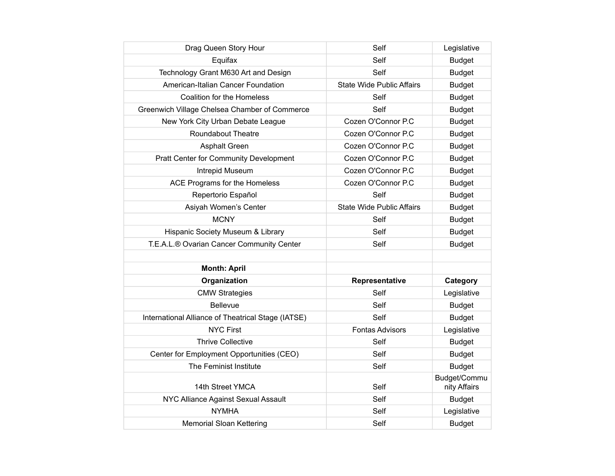| Drag Queen Story Hour                              | Self                             | Legislative                  |
|----------------------------------------------------|----------------------------------|------------------------------|
| Equifax                                            | Self                             | <b>Budget</b>                |
| Technology Grant M630 Art and Design               | Self                             | <b>Budget</b>                |
| American-Italian Cancer Foundation                 | <b>State Wide Public Affairs</b> | <b>Budget</b>                |
| Coalition for the Homeless                         | Self                             | <b>Budget</b>                |
| Greenwich Village Chelsea Chamber of Commerce      | Self                             | <b>Budget</b>                |
| New York City Urban Debate League                  | Cozen O'Connor P.C               | <b>Budget</b>                |
| <b>Roundabout Theatre</b>                          | Cozen O'Connor P.C               | <b>Budget</b>                |
| <b>Asphalt Green</b>                               | Cozen O'Connor P.C               | <b>Budget</b>                |
| Pratt Center for Community Development             | Cozen O'Connor P.C               | <b>Budget</b>                |
| Intrepid Museum                                    | Cozen O'Connor P.C               | <b>Budget</b>                |
| ACE Programs for the Homeless                      | Cozen O'Connor P.C               | <b>Budget</b>                |
| Repertorio Español                                 | Self                             | <b>Budget</b>                |
| Asiyah Women's Center                              | <b>State Wide Public Affairs</b> | <b>Budget</b>                |
| <b>MCNY</b>                                        | Self                             | <b>Budget</b>                |
| Hispanic Society Museum & Library                  | Self                             | <b>Budget</b>                |
| T.E.A.L.® Ovarian Cancer Community Center          | Self                             | <b>Budget</b>                |
|                                                    |                                  |                              |
| <b>Month: April</b>                                |                                  |                              |
| Organization                                       | Representative                   | Category                     |
| <b>CMW Strategies</b>                              | Self                             | Legislative                  |
| <b>Bellevue</b>                                    | Self                             | <b>Budget</b>                |
| International Alliance of Theatrical Stage (IATSE) | Self                             | <b>Budget</b>                |
| <b>NYC First</b>                                   | <b>Fontas Advisors</b>           | Legislative                  |
| <b>Thrive Collective</b>                           | Self                             | <b>Budget</b>                |
| Center for Employment Opportunities (CEO)          | Self                             | <b>Budget</b>                |
| The Feminist Institute                             | Self                             | <b>Budget</b>                |
| 14th Street YMCA                                   | Self                             | Budget/Commu<br>nity Affairs |
| NYC Alliance Against Sexual Assault                | Self                             | <b>Budget</b>                |
| <b>NYMHA</b>                                       | Self                             | Legislative                  |
| <b>Memorial Sloan Kettering</b>                    | Self                             | <b>Budget</b>                |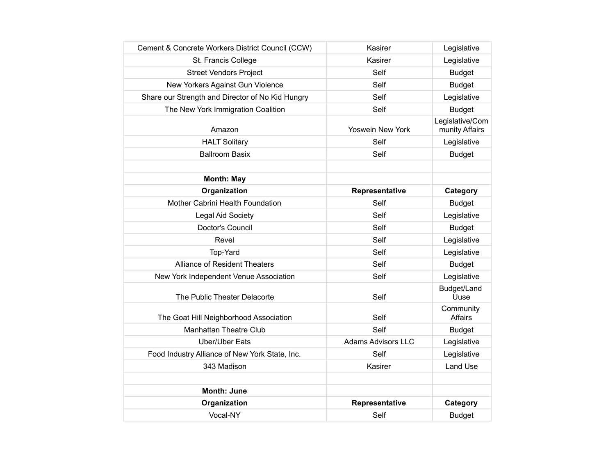| Cement & Concrete Workers District Council (CCW) | Kasirer                   | Legislative                       |
|--------------------------------------------------|---------------------------|-----------------------------------|
| St. Francis College                              | Kasirer                   | Legislative                       |
| <b>Street Vendors Project</b>                    | Self                      | <b>Budget</b>                     |
| New Yorkers Against Gun Violence                 | Self                      | <b>Budget</b>                     |
| Share our Strength and Director of No Kid Hungry | Self                      | Legislative                       |
| The New York Immigration Coalition               | Self                      | <b>Budget</b>                     |
| Amazon                                           | Yoswein New York          | Legislative/Com<br>munity Affairs |
| <b>HALT Solitary</b>                             | Self                      | Legislative                       |
| <b>Ballroom Basix</b>                            | Self                      | <b>Budget</b>                     |
|                                                  |                           |                                   |
| <b>Month: May</b>                                |                           |                                   |
| Organization                                     | Representative            | Category                          |
| Mother Cabrini Health Foundation                 | Self                      | <b>Budget</b>                     |
| Legal Aid Society                                | Self                      | Legislative                       |
| Doctor's Council                                 | Self                      | <b>Budget</b>                     |
| Revel                                            | Self                      | Legislative                       |
| Top-Yard                                         | Self                      | Legislative                       |
| <b>Alliance of Resident Theaters</b>             | Self                      | <b>Budget</b>                     |
| New York Independent Venue Association           | Self                      | Legislative                       |
| The Public Theater Delacorte                     | Self                      | Budget/Land<br>Uuse               |
| The Goat Hill Neighborhood Association           | Self                      | Community<br><b>Affairs</b>       |
| <b>Manhattan Theatre Club</b>                    | Self                      | <b>Budget</b>                     |
| <b>Uber/Uber Eats</b>                            | <b>Adams Advisors LLC</b> | Legislative                       |
| Food Industry Alliance of New York State, Inc.   | Self                      | Legislative                       |
| 343 Madison                                      | Kasirer                   | <b>Land Use</b>                   |
|                                                  |                           |                                   |
| <b>Month: June</b>                               |                           |                                   |
| Organization                                     | Representative            | Category                          |
| Vocal-NY                                         | Self                      | <b>Budget</b>                     |